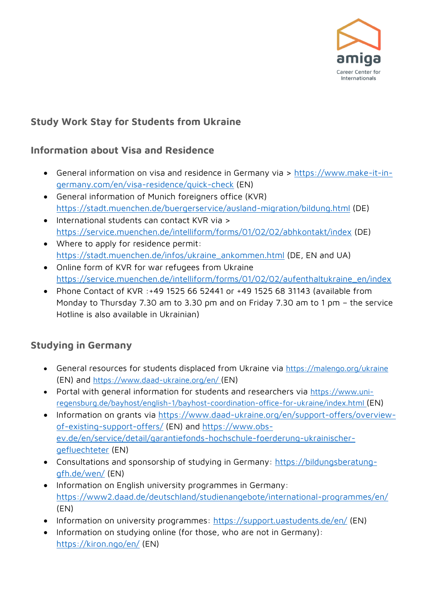

# **Study Work Stay for Students from Ukraine**

## **Information about Visa and Residence**

- General information on visa and residence in Germany via > [https://www.make-it-in](https://www.make-it-in-germany.com/en/visa-residence/quick-check)[germany.com/en/visa-residence/quick-check](https://www.make-it-in-germany.com/en/visa-residence/quick-check) (EN)
- General information of Munich foreigners office (KVR) <https://stadt.muenchen.de/buergerservice/ausland-migration/bildung.html> (DE)
- International students can contact KVR via > <https://service.muenchen.de/intelliform/forms/01/02/02/abhkontakt/index> (DE)
- Where to apply for residence permit: [https://stadt.muenchen.de/infos/ukraine\\_ankommen.html](https://stadt.muenchen.de/infos/ukraine_ankommen.html) (DE, EN and UA)
- Online form of KVR for war refugees from Ukraine [https://service.muenchen.de/intelliform/forms/01/02/02/aufenthaltukraine\\_en/index](https://service.muenchen.de/intelliform/forms/01/02/02/aufenthaltukraine_en/index)
- Phone Contact of KVR :+49 1525 66 52441 or +49 1525 68 31143 (available from Monday to Thursday 7.30 am to 3.30 pm and on Friday 7.30 am to 1 pm – the service Hotline is also available in Ukrainian)

### **Studying in Germany**

- General resources for students displaced from Ukraine via <https://malengo.org/ukraine> (EN) and <https://www.daad-ukraine.org/en/> (EN)
- Portal with general information for students and researchers via [https://www.uni](https://www.uni-regensburg.de/bayhost/english-1/bayhost-coordination-office-for-ukraine/index.html)[regensburg.de/bayhost/english-1/bayhost-coordination-office-for-ukraine/index.html](https://www.uni-regensburg.de/bayhost/english-1/bayhost-coordination-office-for-ukraine/index.html) (EN)
- Information on grants via [https://www.daad-ukraine.org/en/support-offers/overview](https://www.daad-ukraine.org/en/support-offers/overview-of-existing-support-offers/)[of-existing-support-offers/](https://www.daad-ukraine.org/en/support-offers/overview-of-existing-support-offers/) (EN) and [https://www.obs](https://www.obs-ev.de/en/service/detail/garantiefonds-hochschule-foerderung-ukrainischer-gefluechteter)[ev.de/en/service/detail/garantiefonds-hochschule-foerderung-ukrainischer](https://www.obs-ev.de/en/service/detail/garantiefonds-hochschule-foerderung-ukrainischer-gefluechteter)[gefluechteter](https://www.obs-ev.de/en/service/detail/garantiefonds-hochschule-foerderung-ukrainischer-gefluechteter) (EN)
- Consultations and sponsorship of studying in Germany: [https://bildungsberatung](https://bildungsberatung-gfh.de/wen/)[gfh.de/wen/](https://bildungsberatung-gfh.de/wen/) (EN)
- Information on English university programmes in Germany: <https://www2.daad.de/deutschland/studienangebote/international-programmes/en/> (EN)
- Information on university programmes:<https://support.uastudents.de/en/> (EN)
- Information on studying online (for those, who are not in Germany): <https://kiron.ngo/en/> (EN)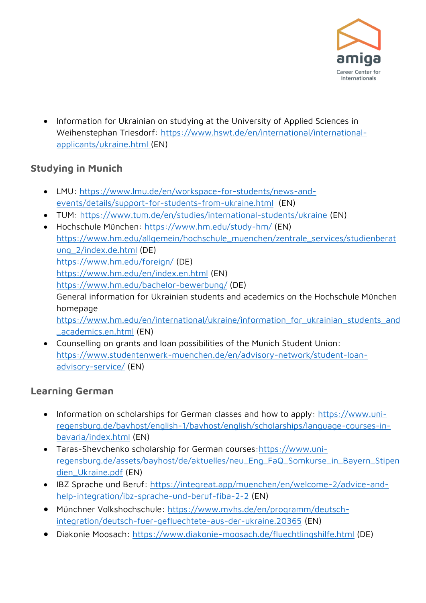

 Information for Ukrainian on studying at the University of Applied Sciences in Weihenstephan Triesdorf: [https://www.hswt.de/en/international/international](https://www.hswt.de/en/international/international-applicants/ukraine.html)[applicants/ukraine.html](https://www.hswt.de/en/international/international-applicants/ukraine.html) (EN)

# **Studying in Munich**

- LMU: [https://www.lmu.de/en/workspace-for-students/news-and](https://www.lmu.de/en/workspace-for-students/news-and-events/details/support-for-students-from-ukraine.html)[events/details/support-for-students-from-ukraine.html](https://www.lmu.de/en/workspace-for-students/news-and-events/details/support-for-students-from-ukraine.html) (EN)
- TUM:<https://www.tum.de/en/studies/international-students/ukraine> (EN)
- Hochschule München:<https://www.hm.edu/study-hm/> (EN) [https://www.hm.edu/allgemein/hochschule\\_muenchen/zentrale\\_services/studienberat](https://www.hm.edu/allgemein/hochschule_muenchen/zentrale_services/studienberatung_2/index.de.html) [ung\\_2/index.de.html](https://www.hm.edu/allgemein/hochschule_muenchen/zentrale_services/studienberatung_2/index.de.html) (DE) <https://www.hm.edu/foreign/> (DE) <https://www.hm.edu/en/index.en.html> (EN) <https://www.hm.edu/bachelor-bewerbung/> (DE) General information for Ukrainian students and academics on the Hochschule München homepage [https://www.hm.edu/en/international/ukraine/information\\_for\\_ukrainian\\_students\\_and](https://www.hm.edu/en/international/ukraine/information_for_ukrainian_students_and_academics.en.html) [\\_academics.en.html](https://www.hm.edu/en/international/ukraine/information_for_ukrainian_students_and_academics.en.html) (EN) Counselling on grants and loan possibilities of the Munich Student Union:
- [https://www.studentenwerk-muenchen.de/en/advisory-network/student-loan](https://www.studentenwerk-muenchen.de/en/advisory-network/student-loan-advisory-service/)[advisory-service/](https://www.studentenwerk-muenchen.de/en/advisory-network/student-loan-advisory-service/) (EN)

## **Learning German**

- Information on scholarships for German classes and how to apply: [https://www.uni](https://www.uni-regensburg.de/bayhost/english-1/bayhost/english/scholarships/language-courses-in-bavaria/index.html)[regensburg.de/bayhost/english-1/bayhost/english/scholarships/language-courses-in](https://www.uni-regensburg.de/bayhost/english-1/bayhost/english/scholarships/language-courses-in-bavaria/index.html)[bavaria/index.html](https://www.uni-regensburg.de/bayhost/english-1/bayhost/english/scholarships/language-courses-in-bavaria/index.html) (EN)
- Taras-Shevchenko scholarship for German courses[:https://www.uni](https://www.uni-regensburg.de/assets/bayhost/de/aktuelles/neu_Eng_FaQ_Somkurse_in_Bayern_Stipendien_Ukraine.pdf)[regensburg.de/assets/bayhost/de/aktuelles/neu\\_Eng\\_FaQ\\_Somkurse\\_in\\_Bayern\\_Stipen](https://www.uni-regensburg.de/assets/bayhost/de/aktuelles/neu_Eng_FaQ_Somkurse_in_Bayern_Stipendien_Ukraine.pdf) [dien\\_Ukraine.pdf](https://www.uni-regensburg.de/assets/bayhost/de/aktuelles/neu_Eng_FaQ_Somkurse_in_Bayern_Stipendien_Ukraine.pdf) (EN)
- IBZ Sprache und Beruf: [https://integreat.app/muenchen/en/welcome-2/advice-and](https://integreat.app/muenchen/en/welcome-2/advice-and-help-integration/ibz-sprache-und-beruf-fiba-2-2)[help-integration/ibz-sprache-und-beruf-fiba-2-2](https://integreat.app/muenchen/en/welcome-2/advice-and-help-integration/ibz-sprache-und-beruf-fiba-2-2) (EN)
- Münchner Volkshochschule: [https://www.mvhs.de/en/programm/deutsch](https://www.mvhs.de/en/programm/deutsch-integration/deutsch-fuer-gefluechtete-aus-der-ukraine.20365)[integration/deutsch-fuer-gefluechtete-aus-der-ukraine.20365](https://www.mvhs.de/en/programm/deutsch-integration/deutsch-fuer-gefluechtete-aus-der-ukraine.20365) (EN)
- Diakonie Moosach:<https://www.diakonie-moosach.de/fluechtlingshilfe.html> (DE)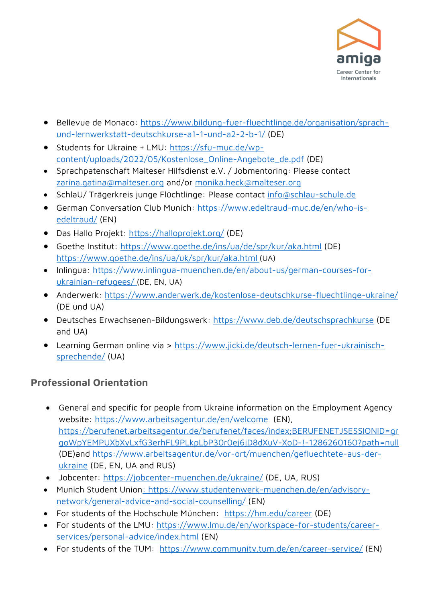

- Bellevue de Monaco: [https://www.bildung-fuer-fluechtlinge.de/organisation/sprach](https://www.bildung-fuer-fluechtlinge.de/organisation/sprach-und-lernwerkstatt-deutschkurse-a1-1-und-a2-2-b-1/)[und-lernwerkstatt-deutschkurse-a1-1-und-a2-2-b-1/](https://www.bildung-fuer-fluechtlinge.de/organisation/sprach-und-lernwerkstatt-deutschkurse-a1-1-und-a2-2-b-1/) (DE)
- Students for Ukraine + LMU: [https://sfu-muc.de/wp](https://sfu-muc.de/wp-content/uploads/2022/05/Kostenlose_Online-Angebote_de.pdf)[content/uploads/2022/05/Kostenlose\\_Online-Angebote\\_de.pdf](https://sfu-muc.de/wp-content/uploads/2022/05/Kostenlose_Online-Angebote_de.pdf) (DE)
- Sprachpatenschaft Malteser Hilfsdienst e.V. / Jobmentoring: Please contact [zarina.gatina@malteser.org](mailto:zarina.gatina@malteser.org) and/or [monika.heck@malteser.org](mailto:monika.heck@malteser.org)
- SchlaU/ Trägerkreis junge Flüchtlinge: Please contact [info@schlau-schule.de](mailto:info@schlau-schule.de)
- German Conversation Club Munich: [https://www.edeltraud-muc.de/en/who-is](https://www.edeltraud-muc.de/en/who-is-edeltraud/)[edeltraud/](https://www.edeltraud-muc.de/en/who-is-edeltraud/) (EN)
- Das Hallo Projekt:<https://halloprojekt.org/> (DE)
- Goethe Institut:<https://www.goethe.de/ins/ua/de/spr/kur/aka.html> (DE) <https://www.goethe.de/ins/ua/uk/spr/kur/aka.html> (UA)
- Inlingua: [https://www.inlingua-muenchen.de/en/about-us/german-courses-for](https://www.inlingua-muenchen.de/en/about-us/german-courses-for-ukrainian-refugees/)[ukrainian-refugees/](https://www.inlingua-muenchen.de/en/about-us/german-courses-for-ukrainian-refugees/) (DE, EN, UA)
- Anderwerk:<https://www.anderwerk.de/kostenlose-deutschkurse-fluechtlinge-ukraine/> (DE und UA)
- Deutsches Erwachsenen-Bildungswerk:<https://www.deb.de/deutschsprachkurse> (DE and UA)
- Learning German online via > [https://www.jicki.de/deutsch-lernen-fuer-ukrainisch](https://www.jicki.de/deutsch-lernen-fuer-ukrainisch-sprechende/)[sprechende/](https://www.jicki.de/deutsch-lernen-fuer-ukrainisch-sprechende/) (UA)

# **Professional Orientation**

- General and specific for people from Ukraine information on the Employment Agency website:<https://www.arbeitsagentur.de/en/welcome>(EN), [https://berufenet.arbeitsagentur.de/berufenet/faces/index;BERUFENETJSESSIONID=gr](https://berufenet.arbeitsagentur.de/berufenet/faces/index;BERUFENETJSESSIONID=grgoWpYEMPUXbXyLxfG3erhFL9PLkpLbP30r0ej6jD8dXuV-XoD-!-1286260160?path=null) [goWpYEMPUXbXyLxfG3erhFL9PLkpLbP30r0ej6jD8dXuV-XoD-!-1286260160?path=null](https://berufenet.arbeitsagentur.de/berufenet/faces/index;BERUFENETJSESSIONID=grgoWpYEMPUXbXyLxfG3erhFL9PLkpLbP30r0ej6jD8dXuV-XoD-!-1286260160?path=null) (DE)and [https://www.arbeitsagentur.de/vor-ort/muenchen/gefluechtete-aus-der](https://www.arbeitsagentur.de/vor-ort/muenchen/gefluechtete-aus-der-ukraine)[ukraine](https://www.arbeitsagentur.de/vor-ort/muenchen/gefluechtete-aus-der-ukraine) (DE, EN, UA and RUS)
- Jobcenter:<https://jobcenter-muenchen.de/ukraine/> (DE, UA, RUS)
- Munich Student Union: [https://www.studentenwerk-muenchen.de/en/advisory](https://www.studentenwerk-muenchen.de/en/advisory-network/general-advice-and-social-counselling/)[network/general-advice-and-social-counselling/](https://www.studentenwerk-muenchen.de/en/advisory-network/general-advice-and-social-counselling/) (EN)
- For students of the Hochschule München: <https://hm.edu/career> (DE)
- For students of the LMU: [https://www.lmu.de/en/workspace-for-students/career](https://www.lmu.de/en/workspace-for-students/career-services/personal-advice/index.html)[services/personal-advice/index.html](https://www.lmu.de/en/workspace-for-students/career-services/personal-advice/index.html) (EN)
- For students of the TUM: <https://www.community.tum.de/en/career-service/> (EN)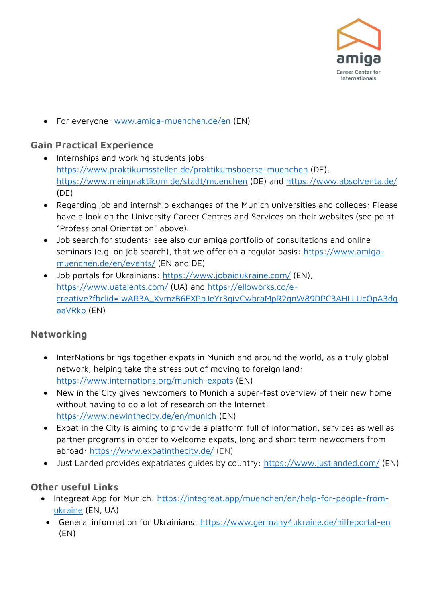

For everyone: [www.amiga-muenchen.de/en](http://www.amiga-muenchen.de/en) (EN)

## **Gain Practical Experience**

- Internships and working students jobs: <https://www.praktikumsstellen.de/praktikumsboerse-muenchen> (DE), <https://www.meinpraktikum.de/stadt/muenchen> (DE) and<https://www.absolventa.de/> (DE)
- Regarding job and internship exchanges of the Munich universities and colleges: Please have a look on the University Career Centres and Services on their websites (see point "Professional Orientation" above).
- Job search for students: see also our amiga portfolio of consultations and online seminars (e.g. on job search), that we offer on a regular basis: [https://www.amiga](https://www.amiga-muenchen.de/en/events/)[muenchen.de/en/events/](https://www.amiga-muenchen.de/en/events/) (EN and DE)
- Job portals for Ukrainians:<https://www.jobaidukraine.com/> (EN), <https://www.uatalents.com/> (UA) and [https://elloworks.co/e](https://elloworks.co/e-creative?fbclid=IwAR3A_XymzB6EXPpJeYr3qivCwbraMpR2qnW89DPC3AHLLUcOpA3dgaaVRko)[creative?fbclid=IwAR3A\\_XymzB6EXPpJeYr3qivCwbraMpR2qnW89DPC3AHLLUcOpA3dg](https://elloworks.co/e-creative?fbclid=IwAR3A_XymzB6EXPpJeYr3qivCwbraMpR2qnW89DPC3AHLLUcOpA3dgaaVRko) [aaVRko](https://elloworks.co/e-creative?fbclid=IwAR3A_XymzB6EXPpJeYr3qivCwbraMpR2qnW89DPC3AHLLUcOpA3dgaaVRko) (EN)

### **Networking**

- InterNations brings together expats in Munich and around the world, as a truly global network, helping take the stress out of moving to foreign land: <https://www.internations.org/munich-expats> (EN)
- New in the City gives newcomers to Munich a super-fast overview of their new home without having to do a lot of research on the Internet: <https://www.newinthecity.de/en/munich> (EN)
- Expat in the City is aiming to provide a platform full of information, services as well as partner programs in order to welcome expats, long and short term newcomers from abroad:<https://www.expatinthecity.de/> (EN)
- Just Landed provides expatriates guides by country:<https://www.justlanded.com/> (EN)

#### **Other useful Links**

- Integreat App for Munich: [https://integreat.app/muenchen/en/help-for-people-from](https://integreat.app/muenchen/en/help-for-people-from-ukraine)[ukraine](https://integreat.app/muenchen/en/help-for-people-from-ukraine) (EN, UA)
	- General information for Ukrainians:<https://www.germany4ukraine.de/hilfeportal-en> (EN)